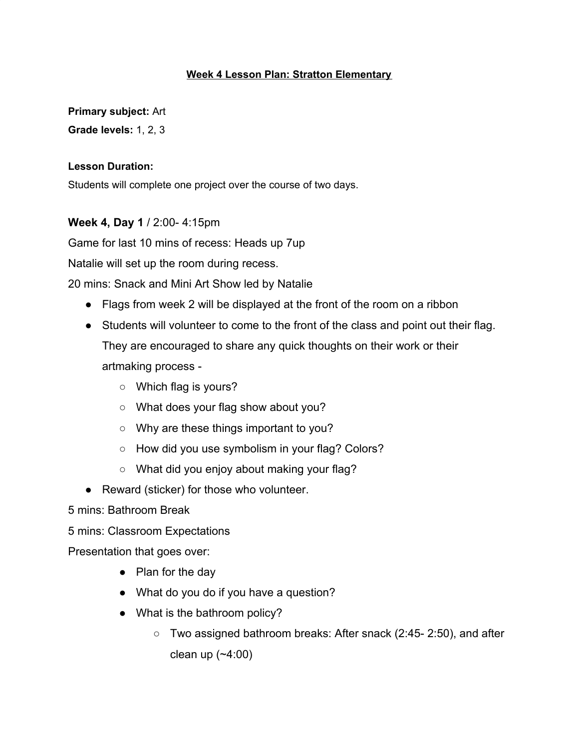#### **Week 4 Lesson Plan: Stratton Elementary**

**Primary subject:** Art

**Grade levels:** 1, 2, 3

### **Lesson Duration:**

Students will complete one project over the course of two days.

### **Week 4, Day 1** / 2:00- 4:15pm

Game for last 10 mins of recess: Heads up 7up

Natalie will set up the room during recess.

20 mins: Snack and Mini Art Show led by Natalie

- Flags from week 2 will be displayed at the front of the room on a ribbon
- Students will volunteer to come to the front of the class and point out their flag. They are encouraged to share any quick thoughts on their work or their artmaking process -
	- Which flag is yours?
	- What does your flag show about you?
	- Why are these things important to you?
	- How did you use symbolism in your flag? Colors?
	- What did you enjoy about making your flag?
- Reward (sticker) for those who volunteer.

5 mins: Bathroom Break

5 mins: Classroom Expectations

Presentation that goes over:

- Plan for the day
- What do you do if you have a question?
- What is the bathroom policy?
	- $\circ$  Two assigned bathroom breaks: After snack (2:45-2:50), and after clean up  $(-4:00)$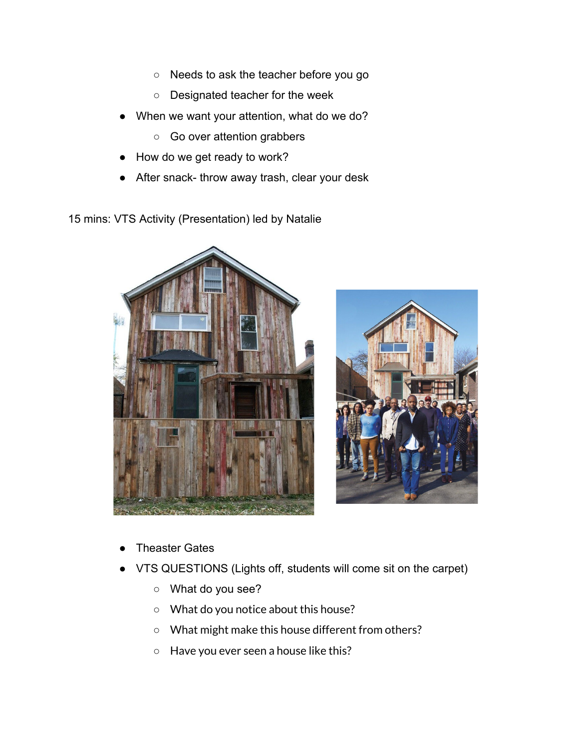- Needs to ask the teacher before you go
- Designated teacher for the week
- When we want your attention, what do we do?
	- Go over attention grabbers
- How do we get ready to work?
- After snack- throw away trash, clear your desk
- 15 mins: VTS Activity (Presentation) led by Natalie





- **Theaster Gates**
- VTS QUESTIONS (Lights off, students will come sit on the carpet)
	- What do you see?
	- What do you notice about this house?
	- What might make this house different from others?
	- Have you ever seen a house like this?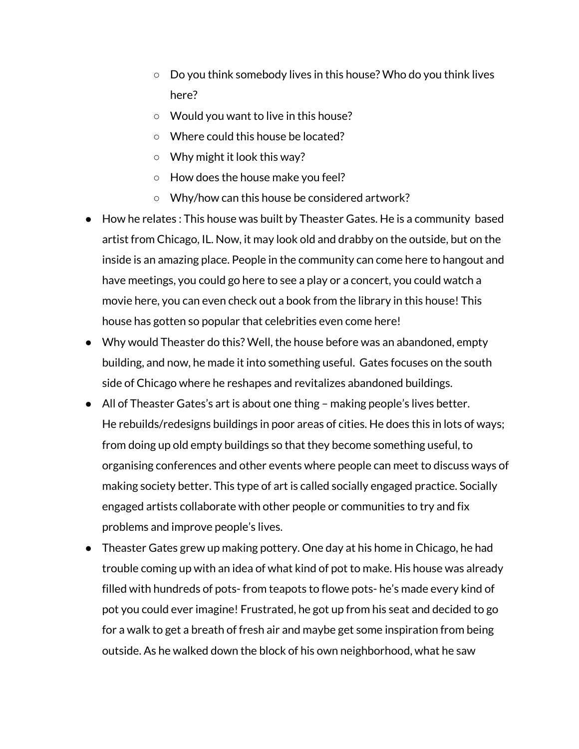- Do you think somebody lives in this house? Who do you think lives here?
- Would you want to live in this house?
- Where could this house be located?
- Why might it look this way?
- How does the house make you feel?
- Why/how can this house be considered artwork?
- How he relates : This house was built by Theaster Gates. He is a community based artist from Chicago, IL. Now, it may look old and drabby on the outside, but on the inside is an amazing place. People in the community can come here to hangout and have meetings, you could go here to see a play or a concert, you could watch a movie here, you can even check out a book from the library in this house! This house has gotten so popular that celebrities even come here!
- Why would Theaster do this? Well, the house before was an abandoned, empty building, and now, he made it into something useful. Gates focuses on the south side of Chicago where he reshapes and revitalizes abandoned buildings.
- All of Theaster Gates's art is about one thing making people's lives better. He rebuilds/redesigns buildings in poor areas of cities. He does this in lots of ways; from doing up old empty buildings so that they become something useful, to organising conferences and other events where people can meet to discuss ways of making society better. This type of art is called socially engaged practice. Socially engaged artists collaborate with other people or communities to try and fix problems and improve people's lives.
- Theaster Gates grew up making pottery. One day at his home in Chicago, he had trouble coming up with an idea of what kind of pot to make. His house was already filled with hundreds of pots- from teapots to flowe pots- he's made every kind of pot you could ever imagine! Frustrated, he got up from his seat and decided to go for a walk to get a breath of fresh air and maybe get some inspiration from being outside. As he walked down the block of his own neighborhood, what he saw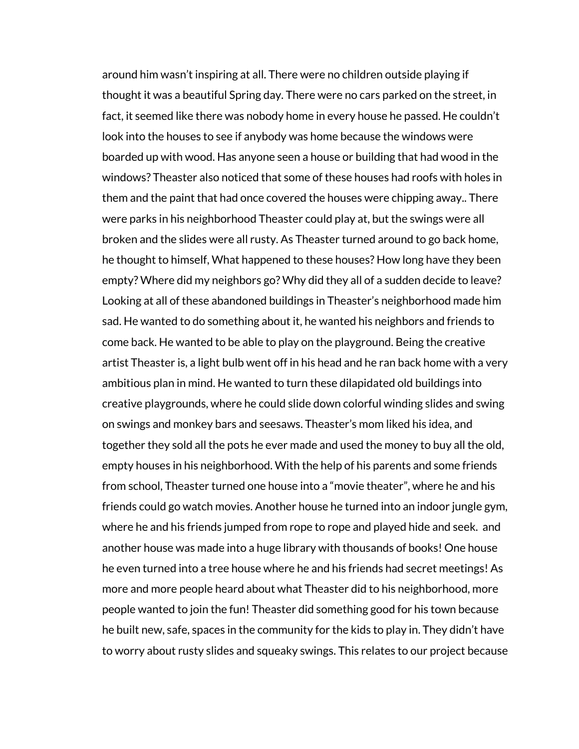around him wasn't inspiring at all. There were no children outside playing if thought it was a beautiful Spring day. There were no cars parked on the street, in fact, it seemed like there was nobody home in every house he passed. He couldn't look into the houses to see if anybody was home because the windows were boarded up with wood. Has anyone seen a house or building that had wood in the windows? Theaster also noticed that some of these houses had roofs with holes in them and the paint that had once covered the houses were chipping away.. There were parks in his neighborhood Theaster could play at, but the swings were all broken and the slides were all rusty. As Theaster turned around to go back home, he thought to himself, What happened to these houses? How long have they been empty? Where did my neighbors go? Why did they all of a sudden decide to leave? Looking at all of these abandoned buildings in Theaster's neighborhood made him sad. He wanted to do something about it, he wanted his neighbors and friends to come back. He wanted to be able to play on the playground. Being the creative artist Theaster is, a light bulb went off in his head and he ran back home with a very ambitious plan in mind. He wanted to turn these dilapidated old buildings into creative playgrounds, where he could slide down colorful winding slides and swing on swings and monkey bars and seesaws. Theaster's mom liked his idea, and together they sold all the pots he ever made and used the money to buy all the old, empty houses in his neighborhood. With the help of his parents and some friends from school, Theaster turned one house into a "movie theater", where he and his friends could go watch movies. Another house he turned into an indoor jungle gym, where he and his friends jumped from rope to rope and played hide and seek. and another house was made into a huge library with thousands of books! One house he even turned into a tree house where he and his friends had secret meetings! As more and more people heard about what Theaster did to his neighborhood, more people wanted to join the fun! Theaster did something good for his town because he built new, safe, spaces in the community for the kids to play in. They didn't have to worry about rusty slides and squeaky swings. This relates to our project because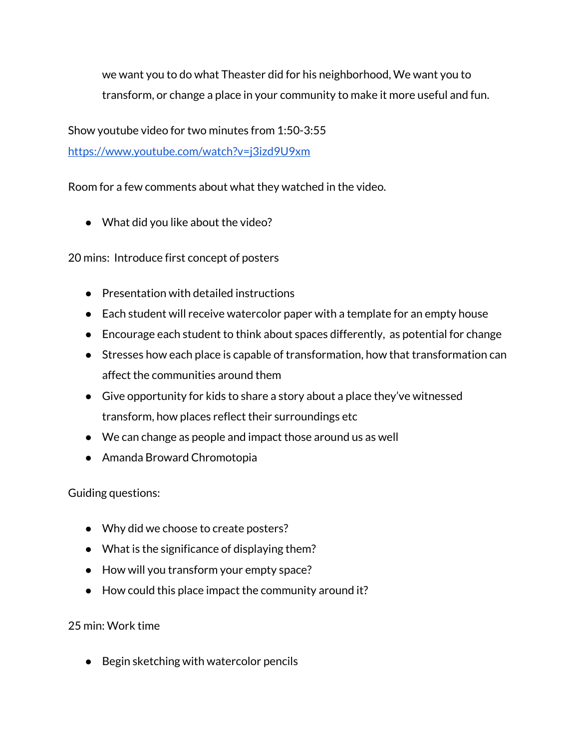we want you to do what Theaster did for his neighborhood, We want you to transform, or change a place in your community to make it more useful and fun.

Show youtube video for two minutes from 1:50-3:55

[https://www.youtube.com/watch?v=j3izd9U9xm](https://www.youtube.com/watch?v=j3izd9U9xm4)

Room for a few comments about what they watched in the video.

• What did you like about the video?

20 mins: Introduce first concept of posters

- Presentation with detailed instructions
- Each student will receive watercolor paper with a template for an empty house
- Encourage each student to think about spaces differently, as potential for change
- Stresses how each place is capable of transformation, how that transformation can affect the communities around them
- Give opportunity for kids to share a story about a place they've witnessed transform, how places reflect their surroundings etc
- We can change as people and impact those around us as well
- Amanda Broward Chromotopia

Guiding questions:

- Why did we choose to create posters?
- What is the significance of displaying them?
- How will you transform your empty space?
- How could this place impact the community around it?

# 25 min: Work time

● Begin sketching with watercolor pencils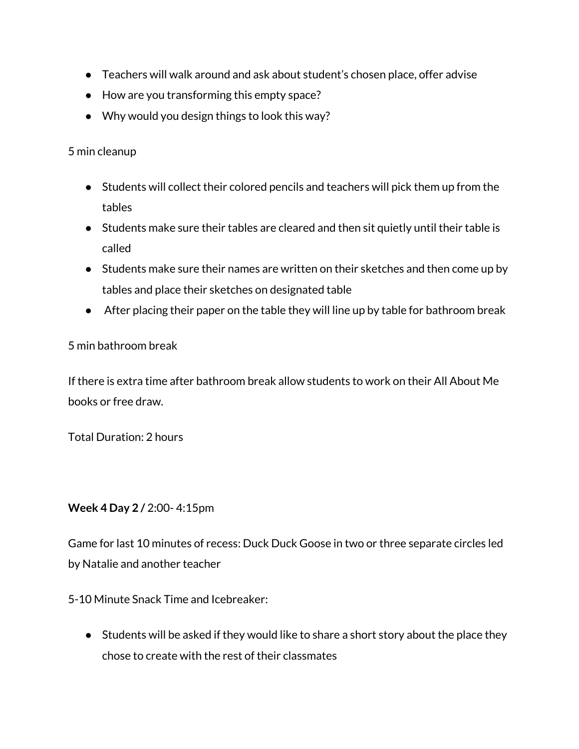- Teachers will walk around and ask about student's chosen place, offer advise
- How are you transforming this empty space?
- Why would you design things to look this way?

5 min cleanup

- Students will collect their colored pencils and teachers will pick them up from the tables
- Students make sure their tables are cleared and then sit quietly until their table is called
- Students make sure their names are written on their sketches and then come up by tables and place their sketches on designated table
- After placing their paper on the table they will line up by table for bathroom break

### 5 min bathroom break

If there is extra time after bathroom break allow students to work on their All About Me books or free draw.

Total Duration: 2 hours

### **Week 4 Day 2 /** 2:00- 4:15pm

Game for last 10 minutes of recess: Duck Duck Goose in two or three separate circles led by Natalie and another teacher

5-10 Minute Snack Time and Icebreaker:

● Students will be asked if they would like to share a short story about the place they chose to create with the rest of their classmates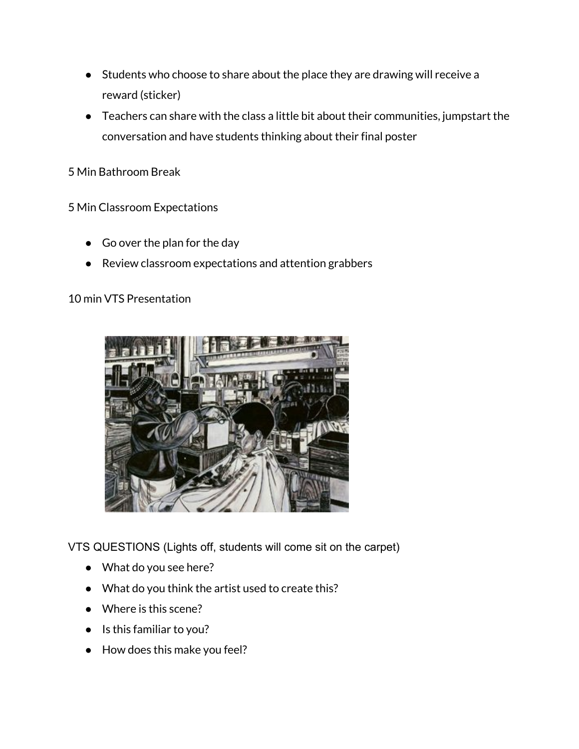- Students who choose to share about the place they are drawing will receive a reward (sticker)
- Teachers can share with the class a little bit about their communities, jumpstart the conversation and have students thinking about their final poster

5 Min Bathroom Break

5 Min Classroom Expectations

- Go over the plan for the day
- Review classroom expectations and attention grabbers

10 min VTS Presentation



VTS QUESTIONS (Lights off, students will come sit on the carpet)

- What do you see here?
- What do you think the artist used to create this?
- Where is this scene?
- Is this familiar to you?
- How does this make you feel?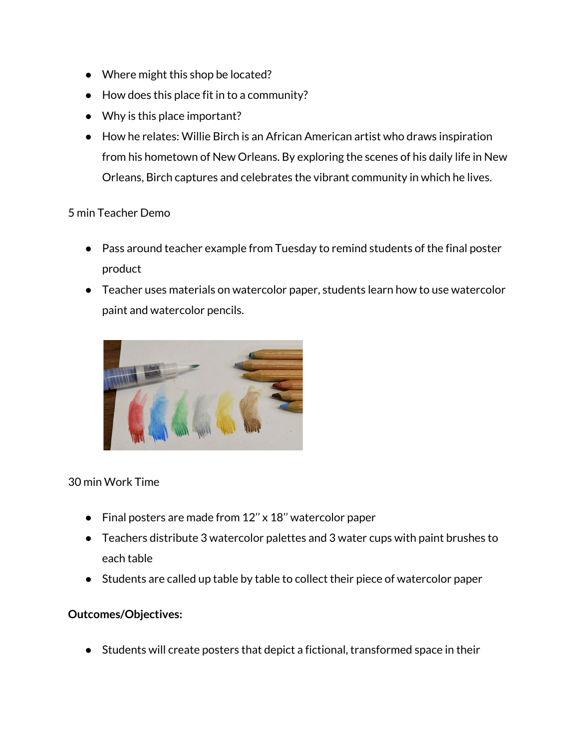- Where might this shop be located?
- How does this place fit in to a community?
- Why is this place important?
- How he relates: Willie Birch is an African American artist who draws inspiration from his hometown of New Orleans. By exploring the scenes of his daily life in New Orleans, Birch captures and celebrates the vibrant community in which he lives.

## 5 min Teacher Demo

- Pass around teacher example from Tuesday to remind students of the final poster product
- Teacher uses materials on watercolor paper, students learn how to use watercolor paint and watercolor pencils.



# 30 min Work Time

- Final posters are made from 12'' x 18'' watercolor paper
- Teachers distribute 3 watercolor palettes and 3 water cups with paint brushes to each table
- Students are called up table by table to collect their piece of watercolor paper

### **Outcomes/Objectives:**

● Students will create posters that depict a fictional, transformed space in their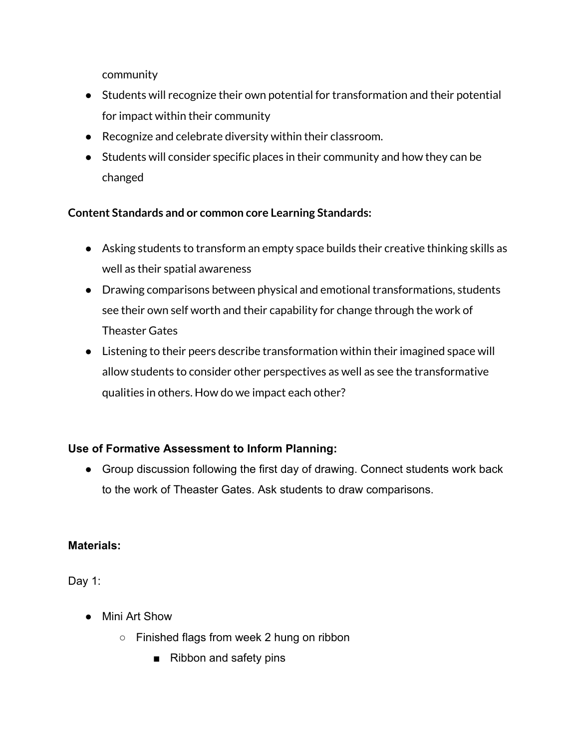community

- Students will recognize their own potential for transformation and their potential for impact within their community
- Recognize and celebrate diversity within their classroom.
- Students will consider specific places in their community and how they can be changed

# **Content Standards and or common core Learning Standards:**

- Asking students to transform an empty space builds their creative thinking skills as well as their spatial awareness
- Drawing comparisons between physical and emotional transformations, students see their own self worth and their capability for change through the work of Theaster Gates
- Listening to their peers describe transformation within their imagined space will allow students to consider other perspectives as well as see the transformative qualities in others. How do we impact each other?

# **Use of Formative Assessment to Inform Planning:**

● Group discussion following the first day of drawing. Connect students work back to the work of Theaster Gates. Ask students to draw comparisons.

# **Materials:**

Day 1:

- Mini Art Show
	- Finished flags from week 2 hung on ribbon
		- Ribbon and safety pins